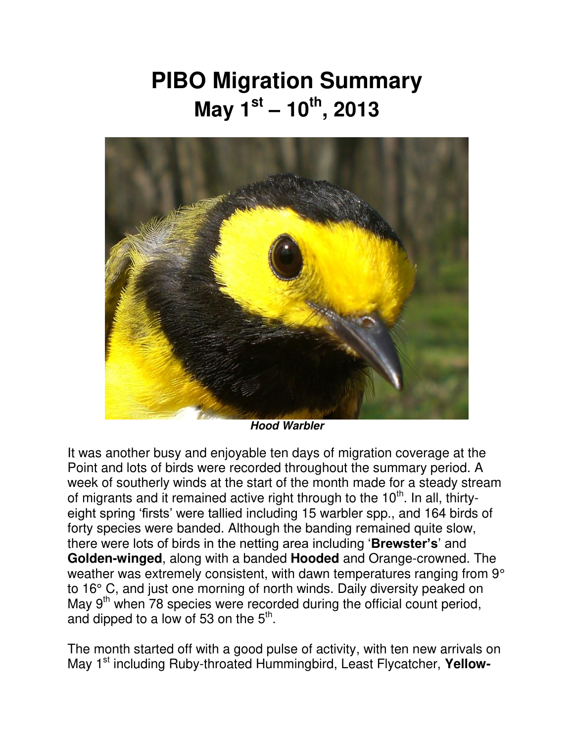## **PIBO Migration Summary May 1st – 10th , 2013**



*Hood Warbler* 

It was another busy and enjoyable ten days of migration coverage at the Point and lots of birds were recorded throughout the summary period. A week of southerly winds at the start of the month made for a steady stream of migrants and it remained active right through to the 10<sup>th</sup>. In all, thirtyeight spring 'firsts' were tallied including 15 warbler spp., and 164 birds of forty species were banded. Although the banding remained quite slow, there were lots of birds in the netting area including '**Brewster's**' and **Golden-winged**, along with a banded **Hooded** and Orange-crowned. The weather was extremely consistent, with dawn temperatures ranging from 9° to 16° C, and just one morning of north winds. Daily diversity peaked on May  $9<sup>th</sup>$  when 78 species were recorded during the official count period, and dipped to a low of 53 on the  $5<sup>th</sup>$ .

The month started off with a good pulse of activity, with ten new arrivals on May 1<sup>st</sup> including Ruby-throated Hummingbird, Least Flycatcher, Yellow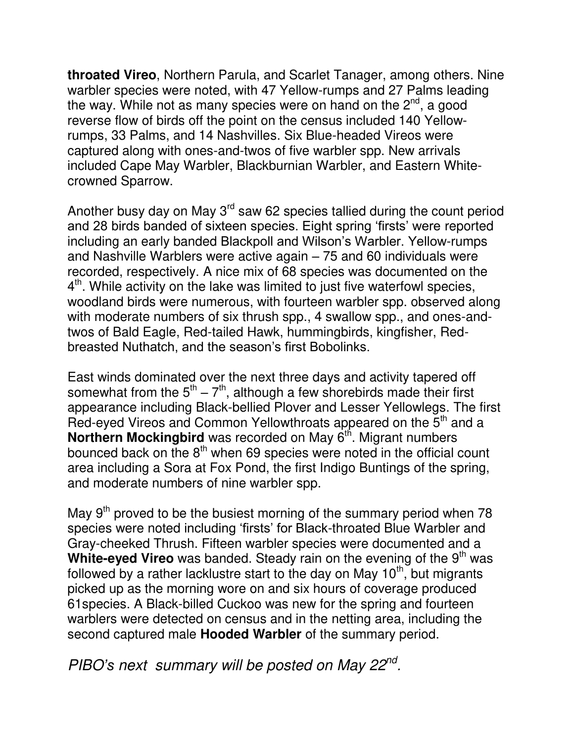**throated Vireo**, Northern Parula, and Scarlet Tanager, among others. Nine warbler species were noted, with 47 Yellow-rumps and 27 Palms leading the way. While not as many species were on hand on the  $2<sup>nd</sup>$ , a good reverse flow of birds off the point on the census included 140 Yellowrumps, 33 Palms, and 14 Nashvilles. Six Blue-headed Vireos were captured along with ones-and-twos of five warbler spp. New arrivals included Cape May Warbler, Blackburnian Warbler, and Eastern Whitecrowned Sparrow.

Another busy day on May  $3<sup>rd</sup>$  saw 62 species tallied during the count period and 28 birds banded of sixteen species. Eight spring 'firsts' were reported including an early banded Blackpoll and Wilson's Warbler. Yellow-rumps and Nashville Warblers were active again – 75 and 60 individuals were recorded, respectively. A nice mix of 68 species was documented on the  $4<sup>th</sup>$ . While activity on the lake was limited to just five waterfowl species, woodland birds were numerous, with fourteen warbler spp. observed along with moderate numbers of six thrush spp., 4 swallow spp., and ones-andtwos of Bald Eagle, Red-tailed Hawk, hummingbirds, kingfisher, Redbreasted Nuthatch, and the season's first Bobolinks.

East winds dominated over the next three days and activity tapered off somewhat from the  $5<sup>th</sup> - 7<sup>th</sup>$ , although a few shorebirds made their first appearance including Black-bellied Plover and Lesser Yellowlegs. The first Red-eyed Vireos and Common Yellowthroats appeared on the 5<sup>th</sup> and a **Northern Mockingbird** was recorded on May 6<sup>th</sup>. Migrant numbers bounced back on the  $8<sup>th</sup>$  when 69 species were noted in the official count area including a Sora at Fox Pond, the first Indigo Buntings of the spring, and moderate numbers of nine warbler spp.

May  $9<sup>th</sup>$  proved to be the busiest morning of the summary period when 78 species were noted including 'firsts' for Black-throated Blue Warbler and Gray-cheeked Thrush. Fifteen warbler species were documented and a **White-eved Vireo** was banded. Steady rain on the evening of the 9<sup>th</sup> was followed by a rather lacklustre start to the day on May 10<sup>th</sup>, but migrants picked up as the morning wore on and six hours of coverage produced 61species. A Black-billed Cuckoo was new for the spring and fourteen warblers were detected on census and in the netting area, including the second captured male **Hooded Warbler** of the summary period.

*PIBO's next summary will be posted on May 22nd .*